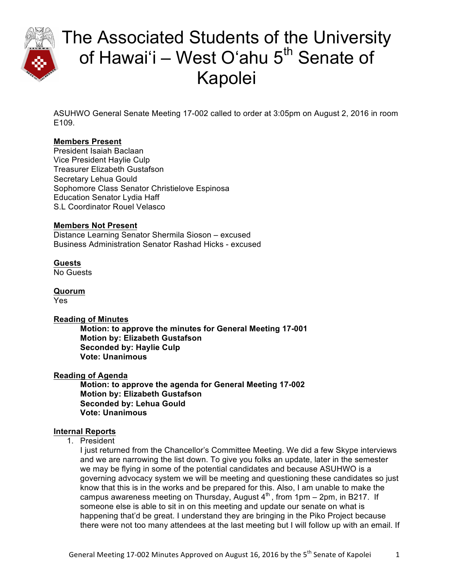

ASUHWO General Senate Meeting 17-002 called to order at 3:05pm on August 2, 2016 in room E109.

### **Members Present**

President Isaiah Baclaan Vice President Haylie Culp Treasurer Elizabeth Gustafson Secretary Lehua Gould Sophomore Class Senator Christielove Espinosa Education Senator Lydia Haff S.L Coordinator Rouel Velasco

### **Members Not Present**

Distance Learning Senator Shermila Sioson – excused Business Administration Senator Rashad Hicks - excused

### **Guests**

No Guests

**Quorum** Yes

#### **Reading of Minutes**

**Motion: to approve the minutes for General Meeting 17-001 Motion by: Elizabeth Gustafson Seconded by: Haylie Culp Vote: Unanimous** 

#### **Reading of Agenda**

**Motion: to approve the agenda for General Meeting 17-002 Motion by: Elizabeth Gustafson Seconded by: Lehua Gould Vote: Unanimous**

### **Internal Reports**

1. President

I just returned from the Chancellor's Committee Meeting. We did a few Skype interviews and we are narrowing the list down. To give you folks an update, later in the semester we may be flying in some of the potential candidates and because ASUHWO is a governing advocacy system we will be meeting and questioning these candidates so just know that this is in the works and be prepared for this. Also, I am unable to make the campus awareness meeting on Thursday, August  $4<sup>th</sup>$ , from 1pm – 2pm, in B217. If someone else is able to sit in on this meeting and update our senate on what is happening that'd be great. I understand they are bringing in the Piko Project because there were not too many attendees at the last meeting but I will follow up with an email. If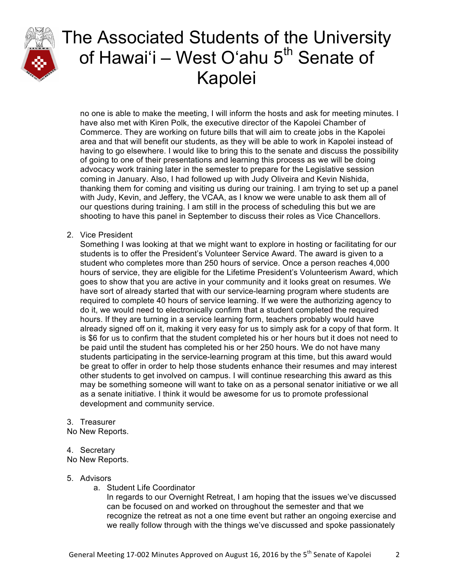

no one is able to make the meeting, I will inform the hosts and ask for meeting minutes. I have also met with Kiren Polk, the executive director of the Kapolei Chamber of Commerce. They are working on future bills that will aim to create jobs in the Kapolei area and that will benefit our students, as they will be able to work in Kapolei instead of having to go elsewhere. I would like to bring this to the senate and discuss the possibility of going to one of their presentations and learning this process as we will be doing advocacy work training later in the semester to prepare for the Legislative session coming in January. Also, I had followed up with Judy Oliveira and Kevin Nishida, thanking them for coming and visiting us during our training. I am trying to set up a panel with Judy, Kevin, and Jeffery, the VCAA, as I know we were unable to ask them all of our questions during training. I am still in the process of scheduling this but we are shooting to have this panel in September to discuss their roles as Vice Chancellors.

2. Vice President

Something I was looking at that we might want to explore in hosting or facilitating for our students is to offer the President's Volunteer Service Award. The award is given to a student who completes more than 250 hours of service. Once a person reaches 4,000 hours of service, they are eligible for the Lifetime President's Volunteerism Award, which goes to show that you are active in your community and it looks great on resumes. We have sort of already started that with our service-learning program where students are required to complete 40 hours of service learning. If we were the authorizing agency to do it, we would need to electronically confirm that a student completed the required hours. If they are turning in a service learning form, teachers probably would have already signed off on it, making it very easy for us to simply ask for a copy of that form. It is \$6 for us to confirm that the student completed his or her hours but it does not need to be paid until the student has completed his or her 250 hours. We do not have many students participating in the service-learning program at this time, but this award would be great to offer in order to help those students enhance their resumes and may interest other students to get involved on campus. I will continue researching this award as this may be something someone will want to take on as a personal senator initiative or we all as a senate initiative. I think it would be awesome for us to promote professional development and community service.

#### 3. Treasurer

No New Reports.

#### 4. Secretary

No New Reports.

#### 5. Advisors

a. Student Life Coordinator

In regards to our Overnight Retreat, I am hoping that the issues we've discussed can be focused on and worked on throughout the semester and that we recognize the retreat as not a one time event but rather an ongoing exercise and we really follow through with the things we've discussed and spoke passionately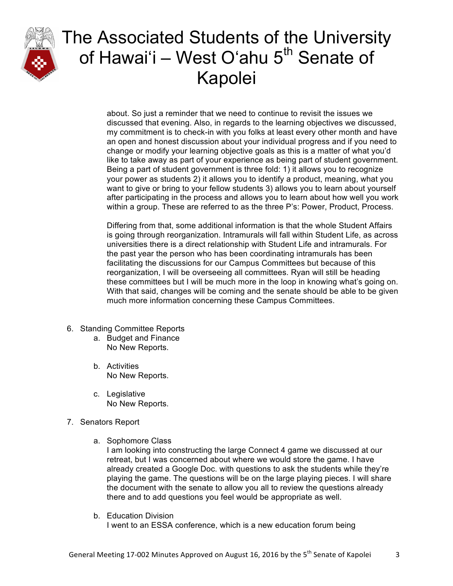

about. So just a reminder that we need to continue to revisit the issues we discussed that evening. Also, in regards to the learning objectives we discussed, my commitment is to check-in with you folks at least every other month and have an open and honest discussion about your individual progress and if you need to change or modify your learning objective goals as this is a matter of what you'd like to take away as part of your experience as being part of student government. Being a part of student government is three fold: 1) it allows you to recognize your power as students 2) it allows you to identify a product, meaning, what you want to give or bring to your fellow students 3) allows you to learn about yourself after participating in the process and allows you to learn about how well you work within a group. These are referred to as the three P's: Power, Product, Process.

Differing from that, some additional information is that the whole Student Affairs is going through reorganization. Intramurals will fall within Student Life, as across universities there is a direct relationship with Student Life and intramurals. For the past year the person who has been coordinating intramurals has been facilitating the discussions for our Campus Committees but because of this reorganization, I will be overseeing all committees. Ryan will still be heading these committees but I will be much more in the loop in knowing what's going on. With that said, changes will be coming and the senate should be able to be given much more information concerning these Campus Committees.

- 6. Standing Committee Reports
	- a. Budget and Finance No New Reports.
	- b. Activities No New Reports.
	- c. Legislative No New Reports.
- 7. Senators Report
	- a. Sophomore Class

I am looking into constructing the large Connect 4 game we discussed at our retreat, but I was concerned about where we would store the game. I have already created a Google Doc. with questions to ask the students while they're playing the game. The questions will be on the large playing pieces. I will share the document with the senate to allow you all to review the questions already there and to add questions you feel would be appropriate as well.

b. Education Division I went to an ESSA conference, which is a new education forum being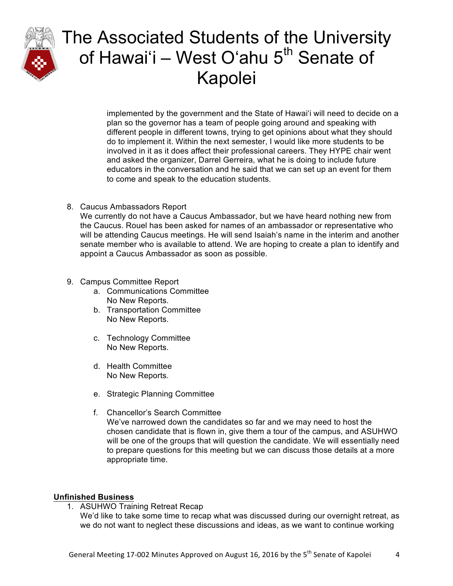

implemented by the government and the State of Hawaiʻi will need to decide on a plan so the governor has a team of people going around and speaking with different people in different towns, trying to get opinions about what they should do to implement it. Within the next semester, I would like more students to be involved in it as it does affect their professional careers. They HYPE chair went and asked the organizer, Darrel Gerreira, what he is doing to include future educators in the conversation and he said that we can set up an event for them to come and speak to the education students.

#### 8. Caucus Ambassadors Report

We currently do not have a Caucus Ambassador, but we have heard nothing new from the Caucus. Rouel has been asked for names of an ambassador or representative who will be attending Caucus meetings. He will send Isaiah's name in the interim and another senate member who is available to attend. We are hoping to create a plan to identify and appoint a Caucus Ambassador as soon as possible.

#### 9. Campus Committee Report

- a. Communications Committee No New Reports.
- b. Transportation Committee No New Reports.
- c. Technology Committee No New Reports.
- d. Health Committee No New Reports.
- e. Strategic Planning Committee
- f. Chancellor's Search Committee We've narrowed down the candidates so far and we may need to host the chosen candidate that is flown in, give them a tour of the campus, and ASUHWO will be one of the groups that will question the candidate. We will essentially need to prepare questions for this meeting but we can discuss those details at a more appropriate time.

#### **Unfinished Business**

1. ASUHWO Training Retreat Recap

We'd like to take some time to recap what was discussed during our overnight retreat, as we do not want to neglect these discussions and ideas, as we want to continue working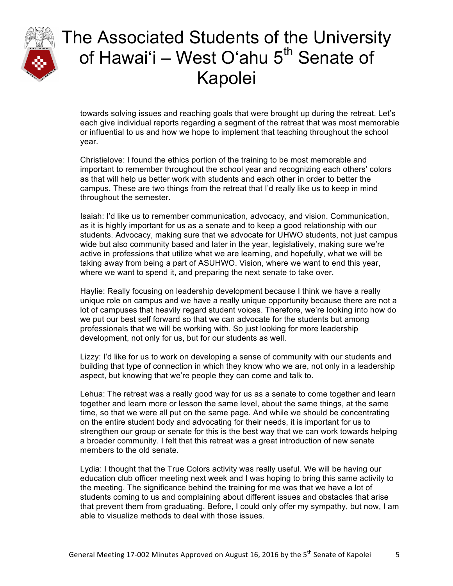

towards solving issues and reaching goals that were brought up during the retreat. Let's each give individual reports regarding a segment of the retreat that was most memorable or influential to us and how we hope to implement that teaching throughout the school year.

Christielove: I found the ethics portion of the training to be most memorable and important to remember throughout the school year and recognizing each others' colors as that will help us better work with students and each other in order to better the campus. These are two things from the retreat that I'd really like us to keep in mind throughout the semester.

Isaiah: I'd like us to remember communication, advocacy, and vision. Communication, as it is highly important for us as a senate and to keep a good relationship with our students. Advocacy, making sure that we advocate for UHWO students, not just campus wide but also community based and later in the year, legislatively, making sure we're active in professions that utilize what we are learning, and hopefully, what we will be taking away from being a part of ASUHWO. Vision, where we want to end this year, where we want to spend it, and preparing the next senate to take over.

Haylie: Really focusing on leadership development because I think we have a really unique role on campus and we have a really unique opportunity because there are not a lot of campuses that heavily regard student voices. Therefore, we're looking into how do we put our best self forward so that we can advocate for the students but among professionals that we will be working with. So just looking for more leadership development, not only for us, but for our students as well.

Lizzy: I'd like for us to work on developing a sense of community with our students and building that type of connection in which they know who we are, not only in a leadership aspect, but knowing that we're people they can come and talk to.

Lehua: The retreat was a really good way for us as a senate to come together and learn together and learn more or lesson the same level, about the same things, at the same time, so that we were all put on the same page. And while we should be concentrating on the entire student body and advocating for their needs, it is important for us to strengthen our group or senate for this is the best way that we can work towards helping a broader community. I felt that this retreat was a great introduction of new senate members to the old senate.

Lydia: I thought that the True Colors activity was really useful. We will be having our education club officer meeting next week and I was hoping to bring this same activity to the meeting. The significance behind the training for me was that we have a lot of students coming to us and complaining about different issues and obstacles that arise that prevent them from graduating. Before, I could only offer my sympathy, but now, I am able to visualize methods to deal with those issues.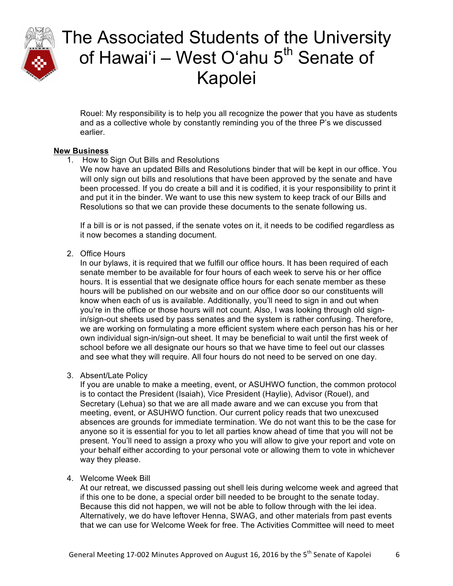

Rouel: My responsibility is to help you all recognize the power that you have as students and as a collective whole by constantly reminding you of the three P's we discussed earlier.

#### **New Business**

1. How to Sign Out Bills and Resolutions

We now have an updated Bills and Resolutions binder that will be kept in our office. You will only sign out bills and resolutions that have been approved by the senate and have been processed. If you do create a bill and it is codified, it is your responsibility to print it and put it in the binder. We want to use this new system to keep track of our Bills and Resolutions so that we can provide these documents to the senate following us.

If a bill is or is not passed, if the senate votes on it, it needs to be codified regardless as it now becomes a standing document.

#### 2. Office Hours

In our bylaws, it is required that we fulfill our office hours. It has been required of each senate member to be available for four hours of each week to serve his or her office hours. It is essential that we designate office hours for each senate member as these hours will be published on our website and on our office door so our constituents will know when each of us is available. Additionally, you'll need to sign in and out when you're in the office or those hours will not count. Also, I was looking through old signin/sign-out sheets used by pass senates and the system is rather confusing. Therefore, we are working on formulating a more efficient system where each person has his or her own individual sign-in/sign-out sheet. It may be beneficial to wait until the first week of school before we all designate our hours so that we have time to feel out our classes and see what they will require. All four hours do not need to be served on one day.

#### 3. Absent/Late Policy

If you are unable to make a meeting, event, or ASUHWO function, the common protocol is to contact the President (Isaiah), Vice President (Haylie), Advisor (Rouel), and Secretary (Lehua) so that we are all made aware and we can excuse you from that meeting, event, or ASUHWO function. Our current policy reads that two unexcused absences are grounds for immediate termination. We do not want this to be the case for anyone so it is essential for you to let all parties know ahead of time that you will not be present. You'll need to assign a proxy who you will allow to give your report and vote on your behalf either according to your personal vote or allowing them to vote in whichever way they please.

#### 4. Welcome Week Bill

At our retreat, we discussed passing out shell leis during welcome week and agreed that if this one to be done, a special order bill needed to be brought to the senate today. Because this did not happen, we will not be able to follow through with the lei idea. Alternatively, we do have leftover Henna, SWAG, and other materials from past events that we can use for Welcome Week for free. The Activities Committee will need to meet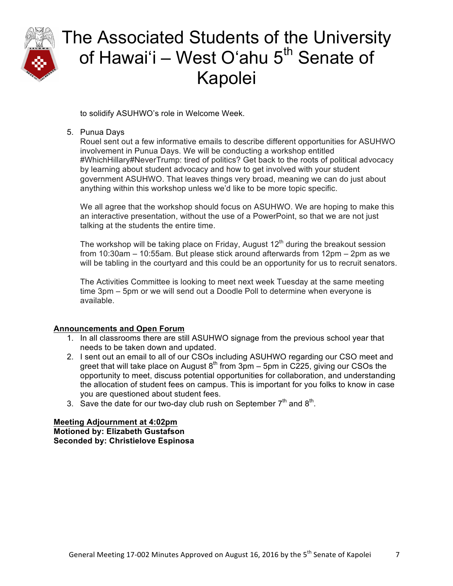

to solidify ASUHWO's role in Welcome Week.

### 5. Punua Days

Rouel sent out a few informative emails to describe different opportunities for ASUHWO involvement in Punua Days. We will be conducting a workshop entitled #WhichHillary#NeverTrump: tired of politics? Get back to the roots of political advocacy by learning about student advocacy and how to get involved with your student government ASUHWO. That leaves things very broad, meaning we can do just about anything within this workshop unless we'd like to be more topic specific.

We all agree that the workshop should focus on ASUHWO. We are hoping to make this an interactive presentation, without the use of a PowerPoint, so that we are not just talking at the students the entire time.

The workshop will be taking place on Friday, August  $12<sup>th</sup>$  during the breakout session from 10:30am – 10:55am. But please stick around afterwards from 12pm – 2pm as we will be tabling in the courtyard and this could be an opportunity for us to recruit senators.

The Activities Committee is looking to meet next week Tuesday at the same meeting time 3pm – 5pm or we will send out a Doodle Poll to determine when everyone is available.

### **Announcements and Open Forum**

- 1. In all classrooms there are still ASUHWO signage from the previous school year that needs to be taken down and updated.
- 2. I sent out an email to all of our CSOs including ASUHWO regarding our CSO meet and greet that will take place on August  $8<sup>th</sup>$  from 3pm – 5pm in C225, giving our CSOs the opportunity to meet, discuss potential opportunities for collaboration, and understanding the allocation of student fees on campus. This is important for you folks to know in case you are questioned about student fees.
- 3. Save the date for our two-day club rush on September  $7<sup>th</sup>$  and  $8<sup>th</sup>$ .

**Meeting Adjournment at 4:02pm Motioned by: Elizabeth Gustafson Seconded by: Christielove Espinosa**